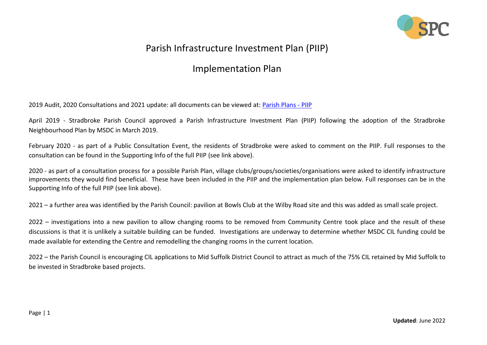

## Parish Infrastructure Investment Plan (PIIP)

## Implementation Plan

2019 Audit, 2020 Consultations and 2021 update: all documents can be viewed at: [Parish Plans -](https://www.stradbrokepc.org/parish-plans) PIIP

April 2019 - Stradbroke Parish Council approved a Parish Infrastructure Investment Plan (PIIP) following the adoption of the Stradbroke Neighbourhood Plan by MSDC in March 2019.

February 2020 - as part of a Public Consultation Event, the residents of Stradbroke were asked to comment on the PIIP. Full responses to the consultation can be found in the Supporting Info of the full PIIP (see link above).

2020 - as part of a consultation process for a possible Parish Plan, village clubs/groups/societies/organisations were asked to identify infrastructure improvements they would find beneficial. These have been included in the PIIP and the implementation plan below. Full responses can be in the Supporting Info of the full PIIP (see link above).

2021 – a further area was identified by the Parish Council: pavilion at Bowls Club at the Wilby Road site and this was added as small scale project.

2022 – investigations into a new pavilion to allow changing rooms to be removed from Community Centre took place and the result of these discussions is that it is unlikely a suitable building can be funded. Investigations are underway to determine whether MSDC CIL funding could be made available for extending the Centre and remodelling the changing rooms in the current location.

2022 – the Parish Council is encouraging CIL applications to Mid Suffolk District Council to attract as much of the 75% CIL retained by Mid Suffolk to be invested in Stradbroke based projects.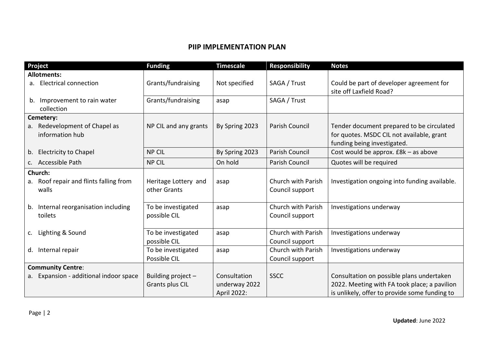## **PIIP IMPLEMENTATION PLAN**

| Project                                   | <b>Funding</b>        | <b>Timescale</b>              | <b>Responsibility</b> | <b>Notes</b>                                  |
|-------------------------------------------|-----------------------|-------------------------------|-----------------------|-----------------------------------------------|
| <b>Allotments:</b>                        |                       |                               |                       |                                               |
| a. Electrical connection                  | Grants/fundraising    | Not specified<br>SAGA / Trust |                       | Could be part of developer agreement for      |
|                                           |                       |                               |                       | site off Laxfield Road?                       |
| Improvement to rain water<br>b.           | Grants/fundraising    | asap                          | SAGA / Trust          |                                               |
| collection                                |                       |                               |                       |                                               |
| Cemetery:                                 |                       |                               |                       |                                               |
| Redevelopment of Chapel as<br>a.          | NP CIL and any grants | By Spring 2023                | Parish Council        | Tender document prepared to be circulated     |
| information hub                           |                       |                               |                       | for quotes. MSDC CIL not available, grant     |
|                                           |                       |                               |                       | funding being investigated.                   |
| <b>Electricity to Chapel</b><br>b.        | <b>NP CIL</b>         | By Spring 2023                | Parish Council        | Cost would be approx. $E8k - as above$        |
| Accessible Path<br>C.                     | <b>NP CIL</b>         | On hold                       | <b>Parish Council</b> | Quotes will be required                       |
| Church:                                   |                       |                               |                       |                                               |
| Roof repair and flints falling from<br>а. | Heritage Lottery and  | asap                          | Church with Parish    | Investigation ongoing into funding available. |
| walls                                     | other Grants          |                               | Council support       |                                               |
|                                           |                       |                               |                       |                                               |
| Internal reorganisation including<br>b.   | To be investigated    | asap                          | Church with Parish    | Investigations underway                       |
| toilets                                   | possible CIL          |                               | Council support       |                                               |
|                                           |                       |                               |                       |                                               |
| Lighting & Sound<br>C.                    | To be investigated    | asap                          | Church with Parish    | Investigations underway                       |
|                                           | possible CIL          |                               | Council support       |                                               |
| Internal repair<br>d.                     | To be investigated    | asap                          | Church with Parish    | Investigations underway                       |
|                                           | Possible CIL          |                               | Council support       |                                               |
| <b>Community Centre:</b>                  |                       |                               |                       |                                               |
| Expansion - additional indoor space<br>a. | Building project -    | Consultation                  | <b>SSCC</b>           | Consultation on possible plans undertaken     |
|                                           | Grants plus CIL       | underway 2022                 |                       | 2022. Meeting with FA took place; a pavilion  |
|                                           |                       | April 2022:                   |                       | is unlikely, offer to provide some funding to |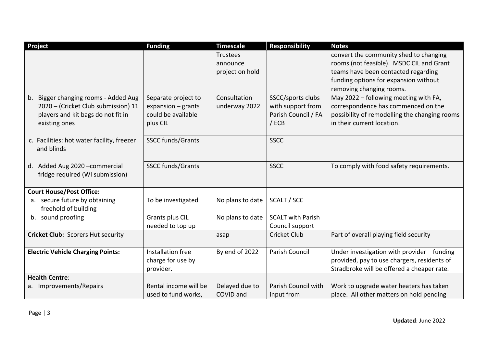| Project                                    | <b>Funding</b>           | <b>Timescale</b> | <b>Responsibility</b>    | <b>Notes</b>                                  |
|--------------------------------------------|--------------------------|------------------|--------------------------|-----------------------------------------------|
|                                            |                          | <b>Trustees</b>  |                          | convert the community shed to changing        |
|                                            |                          | announce         |                          | rooms (not feasible). MSDC CIL and Grant      |
|                                            |                          | project on hold  |                          | teams have been contacted regarding           |
|                                            |                          |                  |                          | funding options for expansion without         |
|                                            |                          |                  |                          | removing changing rooms.                      |
| Bigger changing rooms - Added Aug<br>b.    | Separate project to      | Consultation     | SSCC/sports clubs        | May 2022 - following meeting with FA,         |
| 2020 - (Cricket Club submission) 11        | expansion $-$ grants     | underway 2022    | with support from        | correspondence has commenced on the           |
| players and kit bags do not fit in         | could be available       |                  | Parish Council / FA      | possibility of remodelling the changing rooms |
| existing ones                              | plus CIL                 |                  | $/$ ECB                  | in their current location.                    |
|                                            |                          |                  |                          |                                               |
| c. Facilities: hot water facility, freezer | <b>SSCC funds/Grants</b> |                  | <b>SSCC</b>              |                                               |
| and blinds                                 |                          |                  |                          |                                               |
|                                            |                          |                  |                          |                                               |
| d. Added Aug 2020 - commercial             | <b>SSCC funds/Grants</b> |                  | <b>SSCC</b>              | To comply with food safety requirements.      |
| fridge required (WI submission)            |                          |                  |                          |                                               |
|                                            |                          |                  |                          |                                               |
| <b>Court House/Post Office:</b>            |                          |                  |                          |                                               |
| a. secure future by obtaining              | To be investigated       | No plans to date | SCALT / SCC              |                                               |
| freehold of building                       |                          |                  |                          |                                               |
| b. sound proofing                          | Grants plus CIL          | No plans to date | <b>SCALT with Parish</b> |                                               |
|                                            | needed to top up         |                  | Council support          |                                               |
| <b>Cricket Club: Scorers Hut security</b>  |                          | asap             | <b>Cricket Club</b>      | Part of overall playing field security        |
|                                            |                          |                  |                          |                                               |
| <b>Electric Vehicle Charging Points:</b>   | Installation free -      | By end of 2022   | Parish Council           | Under investigation with provider - funding   |
|                                            | charge for use by        |                  |                          | provided, pay to use chargers, residents of   |
|                                            | provider.                |                  |                          | Stradbroke will be offered a cheaper rate.    |
| <b>Health Centre:</b>                      |                          |                  |                          |                                               |
| a. Improvements/Repairs                    | Rental income will be    | Delayed due to   | Parish Council with      | Work to upgrade water heaters has taken       |
|                                            | used to fund works,      | COVID and        | input from               | place. All other matters on hold pending      |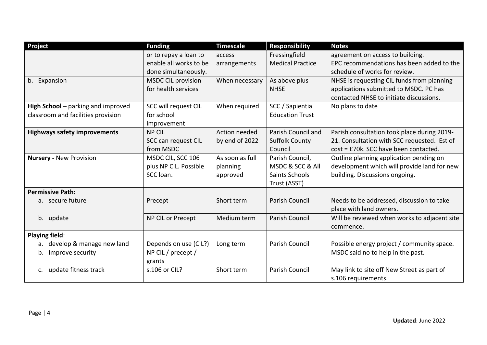| Project                             | <b>Funding</b>            | <b>Timescale</b> | <b>Responsibility</b>   | <b>Notes</b>                                 |
|-------------------------------------|---------------------------|------------------|-------------------------|----------------------------------------------|
|                                     | or to repay a loan to     | access           | Fressingfield           | agreement on access to building.             |
|                                     | enable all works to be    | arrangements     | <b>Medical Practice</b> | EPC recommendations has been added to the    |
|                                     | done simultaneously.      |                  |                         | schedule of works for review.                |
| b.<br>Expansion                     | <b>MSDC CIL provision</b> | When necessary   | As above plus           | NHSE is requesting CIL funds from planning   |
|                                     | for health services       |                  | <b>NHSE</b>             | applications submitted to MSDC. PC has       |
|                                     |                           |                  |                         | contacted NHSE to initiate discussions.      |
| High School - parking and improved  | SCC will request CIL      | When required    | SCC / Sapientia         | No plans to date                             |
| classroom and facilities provision  | for school                |                  | <b>Education Trust</b>  |                                              |
|                                     | improvement               |                  |                         |                                              |
| <b>Highways safety improvements</b> | <b>NP CIL</b>             | Action needed    | Parish Council and      | Parish consultation took place during 2019-  |
|                                     | SCC can request CIL       | by end of 2022   | <b>Suffolk County</b>   | 21. Consultation with SCC requested. Est of  |
|                                     | from MSDC                 |                  | Council                 | cost = £70k. SCC have been contacted.        |
| <b>Nursery - New Provision</b>      | MSDC CIL, SCC 106         | As soon as full  | Parish Council,         | Outline planning application pending on      |
|                                     | plus NP CIL. Possible     | planning         | MSDC & SCC & All        | development which will provide land for new  |
|                                     | SCC loan.                 | approved         | Saints Schools          | building. Discussions ongoing.               |
|                                     |                           |                  | Trust (ASST)            |                                              |
| <b>Permissive Path:</b>             |                           |                  |                         |                                              |
| a. secure future                    | Precept                   | Short term       | Parish Council          | Needs to be addressed, discussion to take    |
|                                     |                           |                  |                         | place with land owners.                      |
| b. update                           | NP CIL or Precept         | Medium term      | Parish Council          | Will be reviewed when works to adjacent site |
|                                     |                           |                  |                         | commence.                                    |
| <b>Playing field:</b>               |                           |                  |                         |                                              |
| develop & manage new land<br>a.     | Depends on use (CIL?)     | Long term        | Parish Council          | Possible energy project / community space.   |
| Improve security<br>b.              | NP CIL / precept /        |                  |                         | MSDC said no to help in the past.            |
|                                     | grants                    |                  |                         |                                              |
| c. update fitness track             | s.106 or CIL?             | Short term       | <b>Parish Council</b>   | May link to site off New Street as part of   |
|                                     |                           |                  |                         | s.106 requirements.                          |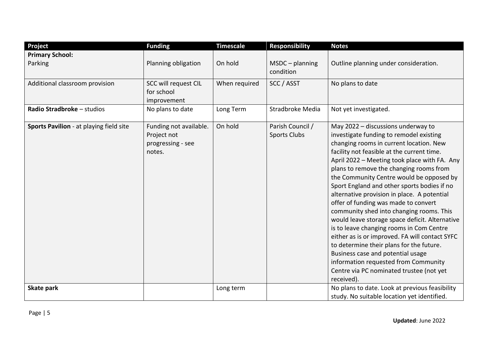| Project                                 | <b>Funding</b>                                                       | <b>Timescale</b> | <b>Responsibility</b>                   | <b>Notes</b>                                                                                                                                                                                                                                                                                                                                                                                                                                                                                                                                                                                                                                                                                                                                                                                                                       |
|-----------------------------------------|----------------------------------------------------------------------|------------------|-----------------------------------------|------------------------------------------------------------------------------------------------------------------------------------------------------------------------------------------------------------------------------------------------------------------------------------------------------------------------------------------------------------------------------------------------------------------------------------------------------------------------------------------------------------------------------------------------------------------------------------------------------------------------------------------------------------------------------------------------------------------------------------------------------------------------------------------------------------------------------------|
| <b>Primary School:</b>                  |                                                                      |                  |                                         |                                                                                                                                                                                                                                                                                                                                                                                                                                                                                                                                                                                                                                                                                                                                                                                                                                    |
| Parking                                 | Planning obligation                                                  | On hold          | $MSDC$ – planning<br>condition          | Outline planning under consideration.                                                                                                                                                                                                                                                                                                                                                                                                                                                                                                                                                                                                                                                                                                                                                                                              |
| Additional classroom provision          | SCC will request CIL<br>for school<br>improvement                    | When required    | SCC / ASST                              | No plans to date                                                                                                                                                                                                                                                                                                                                                                                                                                                                                                                                                                                                                                                                                                                                                                                                                   |
| Radio Stradbroke - studios              | No plans to date                                                     | Long Term        | Stradbroke Media                        | Not yet investigated.                                                                                                                                                                                                                                                                                                                                                                                                                                                                                                                                                                                                                                                                                                                                                                                                              |
| Sports Pavilion - at playing field site | Funding not available.<br>Project not<br>progressing - see<br>notes. | On hold          | Parish Council /<br><b>Sports Clubs</b> | May 2022 - discussions underway to<br>investigate funding to remodel existing<br>changing rooms in current location. New<br>facility not feasible at the current time.<br>April 2022 - Meeting took place with FA. Any<br>plans to remove the changing rooms from<br>the Community Centre would be opposed by<br>Sport England and other sports bodies if no<br>alternative provision in place. A potential<br>offer of funding was made to convert<br>community shed into changing rooms. This<br>would leave storage space deficit. Alternative<br>is to leave changing rooms in Com Centre<br>either as is or improved. FA will contact SYFC<br>to determine their plans for the future.<br>Business case and potential usage<br>information requested from Community<br>Centre via PC nominated trustee (not yet<br>received). |
| Skate park                              |                                                                      | Long term        |                                         | No plans to date. Look at previous feasibility<br>study. No suitable location yet identified.                                                                                                                                                                                                                                                                                                                                                                                                                                                                                                                                                                                                                                                                                                                                      |